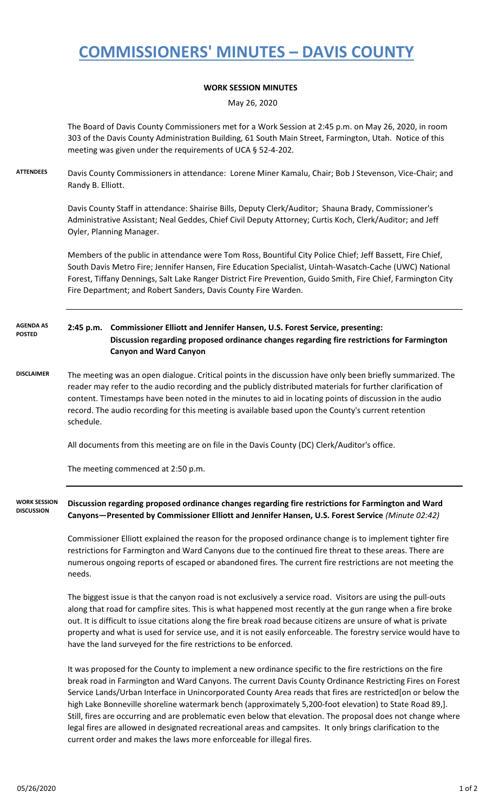## **COMMISSIONERS' MINUTES – DAVIS COUNTY**

## **WORK SESSION MINUTES**

May 26, 2020

The Board of Davis County Commissioners met for a Work Session at 2:45 p.m. on May 26, 2020, in room 303 of the Davis County Administration Building, 61 South Main Street, Farmington, Utah. Notice of this meeting was given under the requirements of UCA § 52-4-202.

**ATTENDEES** Davis County Commissioners in attendance: Lorene Miner Kamalu, Chair; Bob J Stevenson, Vice-Chair; and Randy B. Elliott.

> Davis County Staff in attendance: Shairise Bills, Deputy Clerk/Auditor; Shauna Brady, Commissioner's Administrative Assistant; Neal Geddes, Chief Civil Deputy Attorney; Curtis Koch, Clerk/Auditor; and Jeff Oyler, Planning Manager.

Members of the public in attendance were Tom Ross, Bountiful City Police Chief; Jeff Bassett, Fire Chief, South Davis Metro Fire; Jennifer Hansen, Fire Education Specialist, Uintah-Wasatch-Cache (UWC) National Forest, Tiffany Dennings, Salt Lake Ranger District Fire Prevention, Guido Smith, Fire Chief, Farmington City Fire Department; and Robert Sanders, Davis County Fire Warden.

**2:45 p.m. Commissioner Elliott and Jennifer Hansen, U.S. Forest Service, presenting: Discussion regarding proposed ordinance changes regarding fire restrictions for Farmington Canyon and Ward Canyon AGENDA AS POSTED**

**DISCLAIMER** The meeting was an open dialogue. Critical points in the discussion have only been briefly summarized. The reader may refer to the audio recording and the publicly distributed materials for further clarification of content. Timestamps have been noted in the minutes to aid in locating points of discussion in the audio record. The audio recording for this meeting is available based upon the County's current retention schedule.

All documents from this meeting are on file in the Davis County (DC) Clerk/Auditor's office.

The meeting commenced at 2:50 p.m.

**Discussion regarding proposed ordinance changes regarding fire restrictions for Farmington and Ward Canyons—Presented by Commissioner Elliott and Jennifer Hansen, U.S. Forest Service** *(Minute 02:42)* **WORK SESSION DISCUSSION**

> Commissioner Elliott explained the reason for the proposed ordinance change is to implement tighter fire restrictions for Farmington and Ward Canyons due to the continued fire threat to these areas. There are numerous ongoing reports of escaped or abandoned fires. The current fire restrictions are not meeting the needs.

The biggest issue is that the canyon road is not exclusively a service road. Visitors are using the pull-outs along that road for campfire sites. This is what happened most recently at the gun range when a fire broke out. It is difficult to issue citations along the fire break road because citizens are unsure of what is private property and what is used for service use, and it is not easily enforceable. The forestry service would have to have the land surveyed for the fire restrictions to be enforced.

It was proposed for the County to implement a new ordinance specific to the fire restrictions on the fire break road in Farmington and Ward Canyons. The current Davis County Ordinance Restricting Fires on Forest Service Lands/Urban Interface in Unincorporated County Area reads that fires are restricted[on or below the high Lake Bonneville shoreline watermark bench (approximately 5,200-foot elevation) to State Road 89,]. Still, fires are occurring and are problematic even below that elevation. The proposal does not change where legal fires are allowed in designated recreational areas and campsites. It only brings clarification to the current order and makes the laws more enforceable for illegal fires.